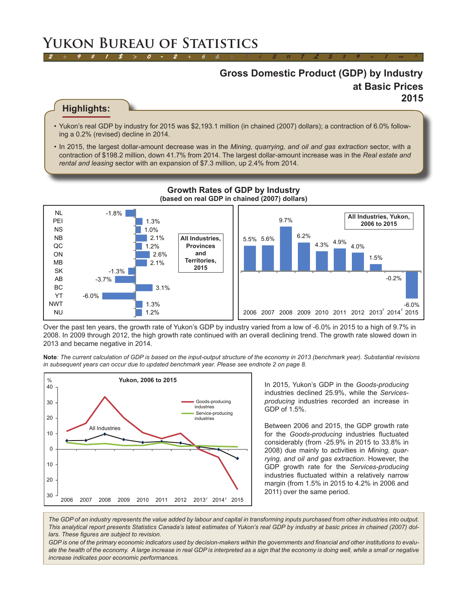# **Yukon Bureau of Statistics**

## **Gross Domestic Product (GDP) by Industry at Basic Prices 2015**

### **Highlights:**

• Yukon's real GDP by industry for 2015 was \$2,193.1 million (in chained (2007) dollars); a contraction of 6.0% following a 0.2% (revised) decline in 2014.

*2 ÷ 9 # 1 \$ > 0 - 2 + 6 & ± 8 < 3 π 7 £ 5 ‡ 9 ≈ 1 ∞ ^*

• In 2015, the largest dollar-amount decrease was in the *Mining, quarrying, and oil and gas extraction* sector, with a contraction of \$198.2 million, down 41.7% from 2014. The largest dollar-amount increase was in the *Real estate and rental and leasing* sector with an expansion of \$7.3 million, up 2.4% from 2014.



#### **Growth Rates of GDP by Industry (based on real GDP in chained (2007) dollars)**

Over the past ten years, the growth rate of Yukon's GDP by industry varied from a low of -6.0% in 2015 to a high of 9.7% in 2008. In 2009 through 2012, the high growth rate continued with an overall declining trend. The growth rate slowed down in 2013 and became negative in 2014.

**Note***: The current calculation of GDP is based on the input-output structure of the economy in 2013 (benchmark year). Substantial revisions in subsequent years can occur due to updated benchmark year. Please see endnote 2 on page 8.*



In 2015, Yukon's GDP in the *Goods-producing* industries declined 25.9%, while the *Servicesproducing* industries recorded an increase in GDP of 1.5%.

Between 2006 and 2015, the GDP growth rate for the *Goods-producing* industries fluctuated considerably (from -25.9% in 2015 to 33.8% in 2008) due mainly to activities in *Mining, quarrying, and oil and gas extraction*. However, the GDP growth rate for the *Services-producing* industries fluctuated within a relatively narrow margin (from 1.5% in 2015 to 4.2% in 2006 and 2011) over the same period.

*The GDP of an industry represents the value added by labour and capital in transforming inputs purchased from other industries into output. This analytical report presents Statistics Canada's latest estimates of Yukon's real GDP by industry at basic prices in chained (2007) dollars. These figures are subject to revision.*

*GDP is one of the primary economic indicators used by decision-makers within the governments and financial and other institutions to evalu*ate the health of the economy. A large increase in real GDP is interpreted as a sign that the economy is doing well, while a small or negative *increase indicates poor economic performances.*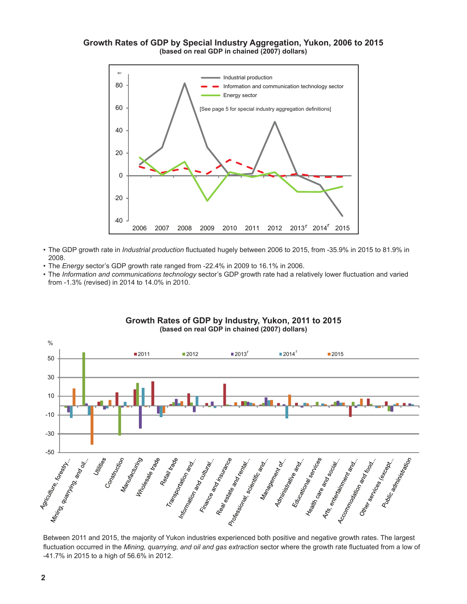### **Growth Rates of GDP by Special Industry Aggregation, Yukon, 2006 to 2015 (based on real GDP in chained (2007) dollars)**



- • The GDP growth rate in *Industrial production* fluctuated hugely between 2006 to 2015, from -35.9% in 2015 to 81.9% in 2008.
- The *Energy* sector's GDP growth rate ranged from -22.4% in 2009 to 16.1% in 2006.
- • The *Information and communications technology* sector's GDP growth rate had a relatively lower fluctuation and varied from -1.3% (revised) in 2014 to 14.0% in 2010.



### **Growth Rates of GDP by Industry, Yukon, 2011 to 2015 (based on real GDP in chained (2007) dollars)**

Between 2011 and 2015, the majority of Yukon industries experienced both positive and negative growth rates. The largest fluctuation occurred in the *Mining, quarrying, and oil and gas extraction* sector where the growth rate fluctuated from a low of -41.7% in 2015 to a high of 56.6% in 2012.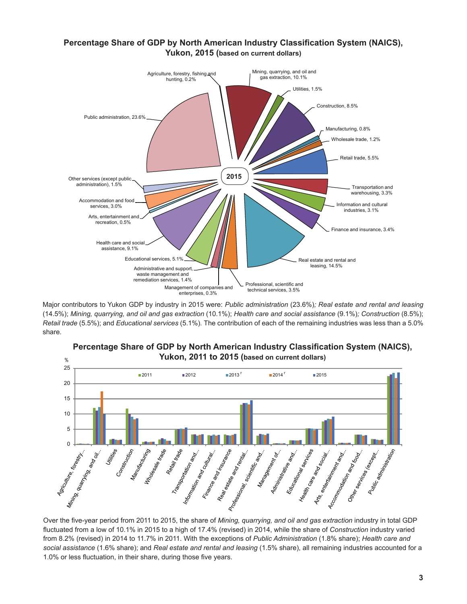### **Percentage Share of GDP by North American Industry Classification System (NAICS), Yukon, 2015 (based on current dollars)**



Major contributors to Yukon GDP by industry in 2015 were: *Public administration* (23.6%)*; Real estate and rental and leasing*  (14.5%); *Mining, quarrying, and oil and gas extraction* (10.1%); *Health care and social assistance* (9.1%)*; Construction* (8.5%); *Retail trade* (5.5%); and *Educational services* (5.1%)*.* The contribution of each of the remaining industries was less than a 5.0% share.



**Percentage Share of GDP by North American Industry Classification System (NAICS),** 

fluctuated from a low of 10.1% in 2015 to a high of 17.4% (revised) in 2014, while the share of *Construction* industry varied from 8.2% (revised) in 2014 to 11.7% in 2011. With the exceptions of *Public Administration* (1.8% share); *Health care and social assistance* (1.6% share); and *Real estate and rental and leasing* (1.5% share), all remaining industries accounted for a 1.0% or less fluctuation, in their share, during those five years.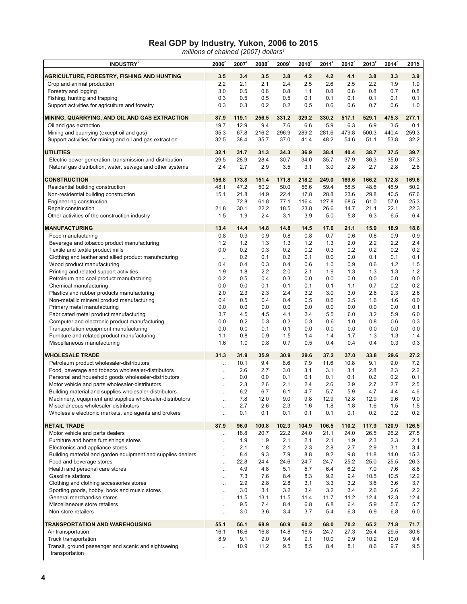## **Real GDP by Industry, Yukon, 2006 to 2015**

*millions of chained (2007) dollars1*

| INDUSTRY <sup>2</sup>                                                                                               | 2006 <sup>r</sup>      | 2007 <sup>r</sup> | 2008 <sup>r</sup> | 2009         | 2010 <sup>r</sup> | 2011 <sup>r</sup> | 2012 <sup>r</sup> | 2013 <sup>r</sup> | 2014 <sup>r</sup> | 2015         |
|---------------------------------------------------------------------------------------------------------------------|------------------------|-------------------|-------------------|--------------|-------------------|-------------------|-------------------|-------------------|-------------------|--------------|
| AGRICULTURE, FORESTRY, FISHING AND HUNTING                                                                          | 3.5                    | 3.4               | 3.5               | 3.8          | 4.2               | 4.2               | 4.1               | 3.8               | 3.3               | 3.9          |
| Crop and animal production                                                                                          | 2.2                    | 2.1               | 2.1               | 2.4          | 2.5               | 2.6               | 2.5               | 2.2               | 1.9               | 1.9          |
| Forestry and logging                                                                                                | 3.0                    | 0.5               | 0.6               | 0.8          | 1.1               | 0.8               | 0.8               | 0.8               | 0.7               | 0.8          |
| Fishing, hunting and trapping                                                                                       | 0.3                    | 0.5               | 0.5               | 0.5          | 0.1               | 0.1               | 0.1               | 0.1               | 0.1               | 0.1          |
| Support activities for agriculture and forestry                                                                     | 0.3                    | 0.3               | 0.2               | 0.2          | 0.5               | 0.6               | 0.6               | 0.7               | 0.6               | 1.0          |
| MINING, QUARRYING, AND OIL AND GAS EXTRACTION                                                                       | 87.9                   | 119.1             | 256.5             | 331.2        | 329.2             | 330.2             | 517.1             | 529.1             | 475.3             | 277.1        |
| Oil and gas extraction                                                                                              | 19.7                   | 12.9              | 9.4               | 7.6          | 6.6               | 5.9               | 6.3               | 6.9               | 3.5               | 0.1          |
| Mining and quarrying (except oil and gas)                                                                           | 35.3                   | 67.8              | 216.2             | 296.9        | 289.2             | 281.6             | 479.8             | 500.3             | 440.4             | 259.3        |
| Support activities for mining and oil and gas extraction                                                            | 32.5                   | 38.4              | 35.7              | 37.0         | 41.4              | 48.2              | 54.6              | 51.1              | 53.8              | 32.2         |
| <b>UTILITIES</b>                                                                                                    | 32.1                   | 31.7              | 31.3              | 34.3         | 36.9              | 38.4              | 40.4              | 38.7              | 37.5              | 39.7         |
| Electric power generation, transmission and distribution                                                            | 29.5                   | 28.9              | 28.4              | 30.7         | 34.0              | 35.7              | 37.9              | 36.3              | 35.0              | 37.3         |
| Natural gas distribution, water, sewage and other systems                                                           | 2.4                    | 2.7               | 2.9               | 3.5          | 3.1               | 3.0               | 2.8               | 2.7               | 2.8               | 2.8          |
| <b>CONSTRUCTION</b>                                                                                                 | 156.8                  | 173.8             | 151.4             | 171.8        | 218.2             | 249.0             | 169.6             | 166.2             | 172.8             | 169.6        |
| Residential building construction                                                                                   | 48.1                   | 47.2              | 50.2              | 50.0         | 56.6              | 59.4              | 58.5              | 48.6              | 46.9              | 50.2         |
| Non-residential building construction                                                                               | 15.1                   | 21.8              | 14.9              | 22.4         | 17.8              | 28.8              | 23.6              | 29.8              | 40.5              | 67.6         |
| Engineering construction<br>Repair construction                                                                     | $\ddotsc$<br>21.8      | 72.8<br>30.1      | 61.8<br>22.2      | 77.1<br>18.5 | 116.4<br>23.8     | 127.8<br>26.6     | 68.5<br>14.7      | 61.0<br>21.1      | 57.0<br>22.1      | 25.3<br>22.3 |
| Other activities of the construction industry                                                                       | 1.5                    | 1.9               | 2.4               | 3.1          | 3.9               | 5.0               | 5.8               | 6.3               | 6.5               | 6.4          |
|                                                                                                                     |                        |                   |                   |              |                   |                   |                   |                   |                   |              |
| <b>MANUFACTURING</b><br>Food manufacturing                                                                          | 13.4<br>0.8            | 14.4<br>0.9       | 14.8<br>0.9       | 14.8<br>0.8  | 14.5<br>0.8       | 17.0<br>0.7       | 21.1<br>0.6       | 15.9<br>0.8       | 18.9<br>0.9       | 18.6<br>0.9  |
| Beverage and tobacco product manufacturing                                                                          | 1.2                    | 1.2               | 1.3               | 1.3          | 1.2               | 1.3               | 2.0               | 2.2               | 2.2               | 2.4          |
| Textile and textile product mills                                                                                   | 0.0                    | 0.2               | 0.3               | 0.2          | 0.2               | 0.3               | 0.2               | 0.2               | 0.2               | 0.2          |
| Clothing and leather and allied product manufacturing                                                               | $\ddotsc$              | 0.2               | 0.1               | 0.2          | 0.1               | 0.0               | 0.0               | 0.1               | 0.1               | 0.1          |
| Wood product manufacturing                                                                                          | 0.4                    | 0.4               | 0.3               | 0.4          | 0.6               | 1.0               | 0.9               | 0.6               | 1.2               | 1.5          |
| Printing and related support activities                                                                             | 1.9                    | 1.8               | 2.2               | 2.0          | 2.1               | 1.9               | 1.3               | 1.3               | 1.3               | $1.2$        |
| Petroleum and coal product manufacturing<br>Chemical manufacturing                                                  | 0.2<br>0.0             | 0.5<br>0.0        | 0.4<br>0.1        | 0.3<br>0.1   | 0.0<br>0.1        | 0.0<br>0.1        | 0.0<br>1.1        | 0.0<br>0.7        | 0.0<br>0.2        | 0.0<br>0.2   |
| Plastics and rubber products manufacturing                                                                          | 2.0                    | 2.3               | 2.3               | 2.4          | 3.2               | 3.0               | 3.0               | 2.8               | 2.3               | 2.6          |
| Non-metallic mineral product manufacturing                                                                          | 0.4                    | 0.5               | 0.4               | 0.4          | 0.5               | 0.6               | 2.5               | 1.6               | 1.6               | 0.0          |
| Primary metal manufacturing                                                                                         | 0.0                    | 0.0               | 0.0               | 0.0          | 0.0               | 0.0               | 0.0               | 0.0               | 0.0               | 0.1          |
| Fabricated metal product manufacturing                                                                              | 3.7                    | 4.5               | 4.5               | 4.1          | 3.4               | 5.5               | 6.0               | 3.2               | 5.9               | 6.0          |
| Computer and electronic product manufacturing                                                                       | 0.0                    | 0.2               | 0.3               | 0.3          | 0.3               | 0.6               | 1.0               | 0.8               | 0.6               | 0.3          |
| Transportation equipment manufacturing<br>Furniture and related product manufacturing                               | 0.0<br>1.1             | 0.0<br>0.8        | 0.1<br>0.9        | 0.1<br>1.5   | 0.0<br>1.4        | 0.0<br>1.4        | 0.0<br>1.7        | 0.0<br>1.3        | 0.0<br>1.3        | 0.0<br>1.4   |
| Miscellaneous manufacturing                                                                                         | 1.6                    | 1.0               | 0.8               | 0.7          | 0.5               | 0.4               | 0.4               | 0.4               | 0.3               | 0.3          |
| <b>WHOLESALE TRADE</b>                                                                                              | 31.3                   | 31.9              | 35.9              | 30.9         | 29.6              | 37.2              | 37.0              | 33.8              | 29.6              | 27.2         |
| Petroleum product wholesaler-distributors                                                                           | $\ddotsc$              | 10.1              | 9.4               | 8.6          | 7.9               | 11.6              | 10.8              | 9.1               | 9.0               | 7.2          |
| Food, beverage and tobacco wholesaler-distributors                                                                  | $\ddotsc$              | 2.6               | 2.7               | 3.0          | 3.1               | 3.1               | 3.1               | 2.8               | 2.3               | 2.2          |
| Personal and household goods wholesaler-distributors                                                                | $\ddot{\phantom{a}}$   | 0.0               | 0.0               | 0.1          | 0.1               | 0.1               | 0.1               | 0.2               | 0.2               | 0.1          |
| Motor vehicle and parts wholesaler-distributors                                                                     | $\ddotsc$              | 2.3               | 2.6               | 2.1          | 2.4               | 2.6               | 2.9               | 2.7               | 2.7               | 2.5          |
| Building material and supplies wholesaler-distributors<br>Machinery, equipment and supplies wholesaler-distributors | $\ddotsc$              | 6.2<br>7.8        | 6.7<br>12.0       | 6.1<br>9.0   | 4.7<br>9.8        | 5.7<br>12.9       | 5.9<br>12.8       | 4.7<br>12.9       | 4.4<br>9.6        | 4.6<br>9.0   |
| Miscellaneous wholesaler-distributors                                                                               | $\ddotsc$              | 2.7               | 2.6               | 2.3          | 1.6               | 1.8               | 1.8               | 1.6               | 1.5               | 1.5          |
| Wholesale electronic markets, and agents and brokers                                                                | $\ddot{\phantom{a}}$   | 0.1               | 0.1               | 0.1          | 0.1               | 0.1               | 0.1               | 0.2               | 0.2               | 0.2          |
| <b>RETAIL TRADE</b>                                                                                                 | 87.9                   | 96.0              | 100.8             | 102.3        | 104.9             | 106.5             | 110.2             | 117.9             | 120.9             | 126.5        |
| Motor vehicle and parts dealers                                                                                     | $\ddot{\phantom{1}}$   | 18.8              | 20.7              | 22.2         | 24.0              | 21.1              | 24.0              | 26.5              | 26.2              | 27.5         |
| Furniture and home furnishings stores                                                                               | $\ddotsc$              | 1.9               | 1.9               | 2.1          | 2.1               | 2.1               | 1.9               | 2.3               | 2.3               | 2.1          |
| Electronics and appliance stores                                                                                    | $\ddot{\phantom{a}}$   | 2.1               | 1.8               | 2.1          | 2.3               | 2.8               | 2.7               | 2.9               | 3.1               | 3.4          |
| Building material and garden equipment and supplies dealers<br>Food and beverage stores                             | $\ddotsc$              | 8.4<br>22.8       | 9.3<br>24.4       | 7.9<br>24.6  | 8.8<br>24.7       | 9.2<br>24.7       | 9.8<br>25.2       | 11.8<br>25.0      | 14.0<br>25.5      | 15.3<br>26.3 |
| Health and personal care stores                                                                                     | $\ddotsc$<br>$\ddotsc$ | 4.9               | 4.8               | 5.1          | 5.7               | 6.4               | 6.2               | 7.0               | 7.6               | 8.8          |
| Gasoline stations                                                                                                   | $\ddot{\phantom{a}}$   | 7.3               | 7.6               | 8.4          | 8.3               | 9.2               | 9.4               | 10.5              | 10.5              | 12.2         |
| Clothing and clothing accessories stores                                                                            | $\ldots$               | 2.9               | 2.8               | 2.8          | 3.1               | 3.3               | 3.2               | 3.6               | 3.6               | 3.7          |
| Sporting goods, hobby, book and music stores                                                                        | $\ddotsc$              | 3.0               | 3.1               | 3.2          | 3.4               | 3.2               | 3.4               | 2.6               | 2.6               | 2.2          |
| General merchandise stores                                                                                          | $\ddot{\phantom{a}}$   | 11.5              | 13.1              | 11.5         | 11.4              | 11.7              | 11.2              | 12.4              | 12.3              | 12.4         |
| Miscellaneous store retailers<br>Non-store retailers                                                                | $\ddot{\phantom{a}}$   | 9.5<br>3.0        | 7.4<br>3.6        | 8.4<br>3.4   | 6.8<br>3.7        | 6.8<br>5.4        | 6.4<br>6.3        | 5.9<br>6.9        | 5.7<br>6.8        | 5.7<br>6.0   |
|                                                                                                                     | $\ddotsc$              |                   |                   |              |                   |                   |                   |                   |                   |              |
| TRANSPORTATION AND WAREHOUSING                                                                                      | 55.1                   | 56.1              | 68.9              | 60.9         | 60.2              | 68.0              | 70.2              | 65.2              | 71.8              | 71.7         |
| Air transportation<br>Truck transportation                                                                          | 16.1<br>8.9            | 16.6<br>9.1       | 16.8<br>9.0       | 14.8<br>9.4  | 16.5<br>9.1       | 24.7<br>10.0      | 27.3<br>9.9       | 25.4<br>10.2      | 29.5<br>10.0      | 30.6<br>9.4  |
| Transit, ground passenger and scenic and sightseeing                                                                | $\ddotsc$              | 10.9              | 11.2              | 9.5          | 8.5               | 8.4               | 8.1               | 8.6               | 9.7               | 9.5          |
| transportation                                                                                                      |                        |                   |                   |              |                   |                   |                   |                   |                   |              |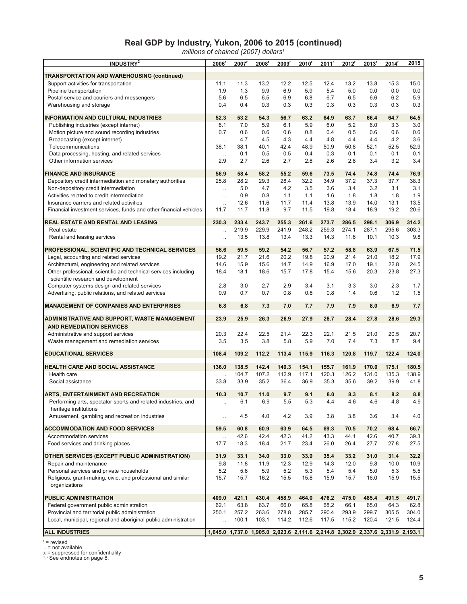## **Real GDP by Industry, Yukon, 2006 to 2015 (continued)**

*millions of chained (2007) dollars1*

| INDUSTRY <sup>2</sup>                                                                      | 2006'                        | 2007       | 2008       | 2009       | 2010       | 2011'      | 2012       | $2013$ <sup>r</sup>                                                             | $2014$ <sup>r</sup> | 2015       |
|--------------------------------------------------------------------------------------------|------------------------------|------------|------------|------------|------------|------------|------------|---------------------------------------------------------------------------------|---------------------|------------|
|                                                                                            |                              |            |            |            |            |            |            |                                                                                 |                     |            |
| <b>TRANSPORTATION AND WAREHOUSING (continued)</b><br>Support activities for transportation | 11.1                         | 11.3       | 13.2       | 12.2       | 12.5       | 12.4       | 13.2       | 13.8                                                                            | 15.3                | 15.0       |
| Pipeline transportation                                                                    | 1.9                          | 1.3        | 9.9        | 6.9        | 5.9        | 5.4        | 5.0        | 0.0                                                                             | 0.0                 | 0.0        |
| Postal service and couriers and messengers                                                 | 5.6                          | 6.5        | 6.5        | 6.9        | 6.8        | 6.7        | 6.5        | 6.6                                                                             | 6.2                 | 5.9        |
| Warehousing and storage                                                                    | 0.4                          | 0.4        | 0.3        | 0.3        | 0.3        | 0.3        | 0.3        | 0.3                                                                             | 0.3                 | 0.3        |
|                                                                                            |                              |            |            |            |            |            |            |                                                                                 |                     |            |
| <b>INFORMATION AND CULTURAL INDUSTRIES</b>                                                 | 52.3                         | 53.2       | 54.3       | 56.7       | 63.2       | 64.9       | 63.7       | 66.4                                                                            | 64.7                | 64.5       |
| Publishing industries (except internet)                                                    | 6.1<br>0.7                   | 7.0<br>0.6 | 5.9<br>0.6 | 6.1<br>0.6 | 5.9<br>0.8 | 6.0<br>0.4 | 5.2<br>0.5 | 6.0                                                                             | 3.3<br>0.6          | 3.0<br>0.6 |
| Motion picture and sound recording industries<br>Broadcasting (except internet)            |                              | 4.7        | 4.5        | 4.3        | 4.4        | 4.8        | 4.4        | 0.6<br>4.4                                                                      | 4.2                 | 3.6        |
| Telecommunications                                                                         | $\ddot{\phantom{a}}$<br>38.1 | 38.1       | 40.1       | 42.4       | 48.9       | 50.9       | 50.8       | 52.1                                                                            | 52.5                | 52.9       |
| Data processing, hosting, and related services                                             | $\ddotsc$                    | 0.1        | 0.5        | 0.5        | 0.4        | 0.3        | 0.1        | 0.1                                                                             | 0.1                 | 0.1        |
| Other information services                                                                 | 2.9                          | 2.7        | 2.6        | 2.7        | 2.8        | 2.6        | 2.8        | 3.4                                                                             | 3.2                 | 3.4        |
| <b>FINANCE AND INSURANCE</b>                                                               | 56.9                         | 58.4       | 58.2       | 55.2       | 59.6       | 73.5       | 74.4       | 74.8                                                                            | 74.4                | 76.9       |
| Depository credit intermediation and monetary authorities                                  | 25.8                         | 28.2       | 29.3       | 28.4       | 32.2       | 34.9       | 37.2       | 37.3                                                                            | 37.7                | 38.3       |
| Non-depository credit intermediation                                                       | $\ddotsc$                    | 5.0        | 4.7        | 4.2        | 3.5        | 3.6        | 3.4        | 3.2                                                                             | 3.1                 | 3.1        |
| Activities related to credit intermediation                                                | $\ddotsc$                    | 0.9        | 0.8        | 1.1        | 1.1        | 1.6        | 1.8        | 1.8                                                                             | 1.8                 | 1.9        |
| Insurance carriers and related activities                                                  | $\ddotsc$                    | 12.6       | 11.6       | 11.7       | 11.4       | 13.8       | 13.9       | 14.0                                                                            | 13.1                | 13.5       |
| Financial investment services, funds and other financial vehicles                          | 11.7                         | 11.7       | 11.8       | 9.7        | 11.5       | 19.8       | 18.4       | 18.9                                                                            | 19.2                | 20.6       |
| <b>REAL ESTATE AND RENTAL AND LEASING</b>                                                  | 230.3                        | 233.4      | 243.7      | 255.3      | 261.6      | 273.7      | 286.5      | 298.1                                                                           | 306.9               | 314.2      |
| Real estate                                                                                | $\ddotsc$                    | 219.9      | 229.9      | 241.9      | 248.2      | 259.3      | 274.1      | 287.1                                                                           | 295.6               | 303.3      |
| Rental and leasing services                                                                | $\ddotsc$                    | 13.5       | 13.8       | 13.4       | 13.3       | 14.3       | 11.6       | 10.1                                                                            | 10.3                | 9.8        |
| <b>PROFESSIONAL, SCIENTIFIC AND TECHNICAL SERVICES</b>                                     | 56.6                         | 59.5       | 59.2       | 54.2       | 56.7       | 57.2       | 58.8       | 63.9                                                                            | 67.5                | 71.5       |
| Legal, accounting and related services                                                     | 19.2                         | 21.7       | 21.6       | 20.2       | 19.8       | 20.9       | 21.4       | 21.0                                                                            | 18.2                | 17.9       |
| Architectural, engineering and related services                                            | 14.6                         | 15.9       | 15.6       | 14.7       | 14.9       | 16.9       | 17.0       | 19.1                                                                            | 22.8                | 24.5       |
| Other professional, scientific and technical services including                            | 18.4                         | 18.1       | 18.6       | 15.7       | 17.8       | 15.4       | 15.6       | 20.3                                                                            | 23.8                | 27.3       |
| scientific research and development                                                        |                              |            |            |            |            |            |            |                                                                                 |                     |            |
| Computer systems design and related services                                               | 2.8                          | 3.0        | 2.7        | 2.9        | 3.4        | 3.1        | 3.3        | 3.0                                                                             | 2.3                 | 1.7        |
| Advertising, public relations, and related services                                        | 0.9                          | 0.7        | 0.7        | 0.8        | 0.8        | 0.8        | 1.4        | 0.6                                                                             | 1.2                 | 1.5        |
| <b>MANAGEMENT OF COMPANIES AND ENTERPRISES</b>                                             | 6.8                          | 6.8        | 7.3        | 7.0        | 7.7        | 7.9        | 7.9        | 8.0                                                                             | 6.9                 | 7.7        |
|                                                                                            |                              |            |            |            |            |            |            |                                                                                 |                     |            |
| ADMINISTRATIVE AND SUPPORT, WASTE MANAGEMENT<br><b>AND REMEDIATION SERVICES</b>            | 23.9                         | 25.9       | 26.3       | 26.9       | 27.9       | 28.7       | 28.4       | 27.8                                                                            | 28.6                | 29.3       |
| Administrative and support services                                                        | 20.3                         | 22.4       | 22.5       | 21.4       | 22.3       | 22.1       | 21.5       | 21.0                                                                            | 20.5                | 20.7       |
| Waste management and remediation services                                                  | 3.5                          | 3.5        | 3.8        | 5.8        | 5.9        | 7.0        | 7.4        | 7.3                                                                             | 8.7                 | 9.4        |
|                                                                                            |                              |            |            |            |            |            |            |                                                                                 |                     |            |
| <b>EDUCATIONAL SERVICES</b>                                                                | 108.4                        | 109.2      | 112.2      | 113.4      | 115.9      | 116.3      | 120.8      | 119.7                                                                           | 122.4               | 124.0      |
| <b>HEALTH CARE AND SOCIAL ASSISTANCE</b>                                                   | 136.0                        | 138.5      | 142.4      | 149.3      | 154.1      | 155.7      | 161.9      | 170.0                                                                           | 175.1               | 180.5      |
| Health care                                                                                | $\ddotsc$                    | 104.7      | 107.2      | 112.9      | 117.1      | 120.3      | 126.2      | 131.0                                                                           | 135.3               | 138.9      |
| Social assistance                                                                          | 33.8                         | 33.9       | 35.2       | 36.4       | 36.9       | 35.3       | 35.6       | 39.2                                                                            | 39.9                | 41.8       |
| <b>ARTS, ENTERTAINMENT AND RECREATION</b>                                                  | 10.3                         | 10.7       | 11.0       | 9.7        | 9.1        | 8.0        | 8.3        | 8.1                                                                             | 8.2                 | 8.8        |
| Performing arts, spectator sports and related industries, and                              |                              | 6.1        | 6.9        | 5.5        | 5.3        | 4.4        | 4.6        | 4.6                                                                             | 4.8                 | 4.9        |
| heritage institutions                                                                      |                              |            |            |            |            |            |            |                                                                                 |                     |            |
| Amusement, gambling and recreation industries                                              | $\ddotsc$                    | 4.5        | 4.0        | 4.2        | 3.9        | 3.8        | 3.8        | 3.6                                                                             | 3.4                 | 4.0        |
| <b>ACCOMMODATION AND FOOD SERVICES</b>                                                     | 59.5                         | 60.8       | 60.9       | 63.9       | 64.5       | 69.3       | 70.5       | 70.2                                                                            | 68.4                | 66.7       |
| Accommodation services                                                                     | $\ddotsc$                    | 42.6       | 42.4       | 42.3       | 41.2       | 43.3       | 44.1       | 42.6                                                                            | 40.7                | 39.3       |
| Food services and drinking places                                                          | 17.7                         | 18.3       | 18.4       | 21.7       | 23.4       | 26.0       | 26.4       | 27.7                                                                            | 27.8                | 27.5       |
| OTHER SERVICES (EXCEPT PUBLIC ADMINISTRATION)                                              | 31.9                         | 33.1       | 34.0       | 33.0       | 33.9       | 35.4       | 33.2       | 31.0                                                                            | 31.4                | 32.2       |
| Repair and maintenance                                                                     | 9.8                          | 11.8       | 11.9       | 12.3       | 12.9       | 14.3       | 12.0       | 9.8                                                                             | 10.0                | 10.9       |
| Personal services and private households                                                   | 5.2                          | 5.6        | 5.9        | 5.2        | 5.3        | 5.4        | 5.4        | 5.0                                                                             | 5.3                 | 5.5        |
| Religious, grant-making, civic, and professional and similar                               | 15.7                         | 15.7       | 16.2       | 15.5       | 15.8       | 15.9       | 15.7       | 16.0                                                                            | 15.9                | 15.5       |
| organizations                                                                              |                              |            |            |            |            |            |            |                                                                                 |                     |            |
| <b>PUBLIC ADMINISTRATION</b>                                                               | 409.0                        | 421.1      | 430.4      | 458.9      | 464.0      | 476.2      | 475.0      | 485.4                                                                           | 491.5               | 491.7      |
| Federal government public administration                                                   | 62.1                         | 63.8       | 63.7       | 66.0       | 65.8       | 68.2       | 66.1       | 65.0                                                                            | 64.3                | 62.8       |
| Provincial and territorial public administration                                           | 250.1                        | 257.2      | 263.6      | 278.8      | 285.7      | 290.4      | 293.9      | 299.7                                                                           | 305.5               | 304.0      |
| Local, municipal, regional and aboriginal public administration                            | $\ddotsc$                    | 100.1      | 103.1      | 114.2      | 112.6      | 117.5      | 115.2      | 120.4                                                                           | 121.5               | 124.4      |
| <b>ALL INDUSTRIES</b>                                                                      |                              |            |            |            |            |            |            | 1,645.0 1,737.0 1,905.0 2,023.6 2,111.6 2,214.8 2,302.9 2,337.6 2,331.9 2,193.1 |                     |            |

<sup>r</sup> = revised<br>.. = not available<br>x = suppressed for confidentiality<br><sup>1, 2</sup> See endnotes on page 8.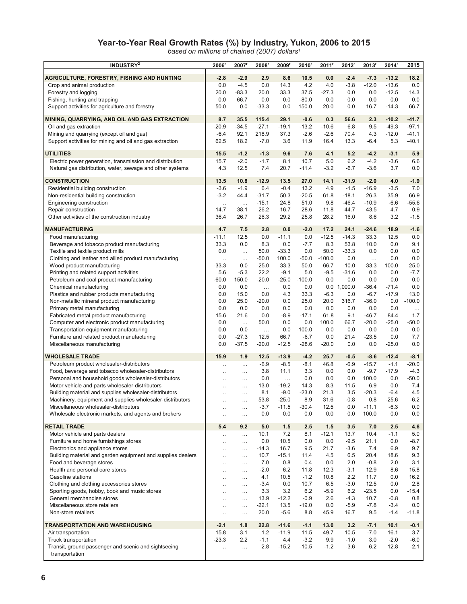### **Year-to-Year Real Growth Rates (%) by Industry, Yukon, 2006 to 2015**

*based on millions of chained (2007) dollars1*

| INDUSTRY <sup>2</sup>                                                                              | 2006                   | 2007                 | $2008^r$           | 2009'             | 2010              | $2011^r$       | $2012^r$           | 2013 <sup>r</sup> | $2014^r$          | 2015             |
|----------------------------------------------------------------------------------------------------|------------------------|----------------------|--------------------|-------------------|-------------------|----------------|--------------------|-------------------|-------------------|------------------|
| <b>AGRICULTURE, FORESTRY, FISHING AND HUNTING</b>                                                  | $-2.8$                 | $-2.9$               | 2.9                | 8.6               | 10.5              | 0.0            | $-2.4$             | $-7.3$            | $-13.2$           | 18.2             |
| Crop and animal production                                                                         | 0.0                    | $-4.5$               | 0.0                | 14.3              | 4.2               | 4.0            | $-3.8$             | $-12.0$           | $-13.6$           | 0.0              |
| Forestry and logging                                                                               | 20.0                   | $-83.3$              | 20.0               | 33.3              | 37.5              | $-27.3$        | 0.0                | 0.0               | $-12.5$           | 14.3             |
| Fishing, hunting and trapping                                                                      | 0.0                    | 66.7                 | 0.0                | 0.0               | $-80.0$           | 0.0            | 0.0                | 0.0               | 0.0               | 0.0              |
| Support activities for agriculture and forestry                                                    | 50.0                   | 0.0                  | $-33.3$            | 0.0               | 150.0             | 20.0           | 0.0                | 16.7              | $-14.3$           | 66.7             |
| MINING, QUARRYING, AND OIL AND GAS EXTRACTION                                                      | 8.7                    | 35.5                 | 115.4              | 29.1              | $-0.6$            | 0.3            | 56.6               | 2.3               | $-10.2$           | $-41.7$          |
| Oil and gas extraction                                                                             | $-20.9$                | $-34.5$              | $-27.1$            | $-19.1$           | $-13.2$           | $-10.6$        | 6.8                | 9.5               | $-49.3$           | $-97.1$          |
| Mining and quarrying (except oil and gas)                                                          | $-6.4$                 | 92.1                 | 218.9              | 37.3              | $-2.6$            | $-2.6$         | 70.4               | 4.3               | $-12.0$           | $-41.1$          |
| Support activities for mining and oil and gas extraction                                           | 62.5                   | 18.2                 | $-7.0$             | 3.6               | 11.9              | 16.4           | 13.3               | -6.4              | 5.3               | $-40.1$          |
| <b>UTILITIES</b>                                                                                   | 15.5                   | $-1.2$               | $-1.3$             | 9.6               | 7.6               | 4.1            | 5.2                | $-4.2$            | $-3.1$            | 5.9              |
| Electric power generation, transmission and distribution                                           | 15.7                   | $-2.0$               | $-1.7$             | 8.1               | 10.7              | 5.0            | 6.2                | $-4.2$            | $-3.6$            | 6.6              |
| Natural gas distribution, water, sewage and other systems                                          | 4.3                    | 12.5                 | 7.4                | 20.7              | $-11.4$           | $-3.2$         | $-6.7$             | $-3.6$            | 3.7               | 0.0              |
| <b>CONSTRUCTION</b>                                                                                | 13.5                   | 10.8                 | $-12.9$            | 13.5              | 27.0              | 14.1           | -31.9              | $-2.0$            | 4.0               | $-1.9$           |
| Residential building construction                                                                  | $-3.6$                 | $-1.9$               | 6.4                | $-0.4$            | 13.2              | 4.9            | $-1.5$             | $-16.9$           | $-3.5$            | 7.0              |
| Non-residential building construction                                                              | $-3.2$                 | 44.4                 | $-31.7$            | 50.3              | $-20.5$           | 61.8           | $-18.1$            | 26.3              | 35.9              | 66.9             |
| Engineering construction<br>Repair construction                                                    | $\ddotsc$<br>14.7      | $\ldots$<br>38.1     | $-15.1$<br>$-26.2$ | 24.8<br>$-16.7$   | 51.0<br>28.6      | 9.8<br>11.8    | $-46.4$<br>-44.7   | $-10.9$<br>43.5   | $-6.6$<br>4.7     | $-55.6$<br>0.9   |
| Other activities of the construction industry                                                      | 36.4                   | 26.7                 | 26.3               | 29.2              | 25.8              | 28.2           | 16.0               | 8.6               | 3.2               | $-1.5$           |
|                                                                                                    |                        |                      |                    |                   |                   |                |                    |                   |                   |                  |
| <b>MANUFACTURING</b>                                                                               | 4.7                    | 7.5                  | 2.8                | 0.0               | $-2.0$            | 17.2           | 24.1               | $-24.6$           | 18.9              | $-1.6$           |
| Food manufacturing                                                                                 | $-11.1$                | 12.5                 | 0.0                | $-11.1$           | 0.0               | $-12.5$        | $-14.3$            | 33.3              | 12.5              | 0.0              |
| Beverage and tobacco product manufacturing                                                         | 33.3                   | 0.0                  | 8.3                | 0.0               | $-7.7$            | 8.3            | 53.8               | 10.0              | 0.0               | 9.1              |
| Textile and textile product mills                                                                  | 0.0                    | $\cdots$             | 50.0               | $-33.3$           | 0.0               | 50.0           | $-33.3$            | 0.0               | 0.0               | 0.0              |
| Clothing and leather and allied product manufacturing                                              | $\ddot{\phantom{a}}$   | $\ldots$             | $-50.0$            | 100.0             | $-50.0$<br>50.0   | $-100.0$       | 0.0                | $\cdots$          | 0.0               | 0.0              |
| Wood product manufacturing<br>Printing and related support activities                              | $-33.3$<br>5.6         | 0.0<br>$-5.3$        | $-25.0$<br>22.2    | 33.3<br>$-9.1$    | 5.0               | 66.7<br>$-9.5$ | $-10.0$<br>$-31.6$ | $-33.3$<br>0.0    | 100.0<br>0.0      | 25.0<br>$-7.7$   |
| Petroleum and coal product manufacturing                                                           | $-60.0$                | 150.0                | $-20.0$            | $-25.0$           | $-100.0$          | 0.0            | 0.0                | 0.0               | 0.0               | 0.0              |
| Chemical manufacturing                                                                             | 0.0                    | 0.0                  | $\ldots$           | 0.0               | 0.0               |                | $0.0$ 1,000.0      | $-36.4$           | $-71.4$           | 0.0              |
| Plastics and rubber products manufacturing                                                         | 0.0                    | 15.0                 | 0.0                | 4.3               | 33.3              | $-6.3$         | 0.0                | $-6.7$            | $-17.9$           | 13.0             |
| Non-metallic mineral product manufacturing                                                         | 0.0                    | 25.0                 | $-20.0$            | 0.0               | 25.0              | 20.0           | 316.7              | $-36.0$           | 0.0               | $-100.0$         |
| Primary metal manufacturing                                                                        | 0.0                    | 0.0                  | 0.0                | 0.0               | 0.0               | 0.0            | 0.0                | 0.0               | 0.0               | $\ldots$         |
| Fabricated metal product manufacturing                                                             | 15.6                   | 21.6                 | 0.0                | $-8.9$            | $-17.1$           | 61.8           | 9.1                | $-46.7$           | 84.4              | 1.7              |
| Computer and electronic product manufacturing                                                      | 0.0                    | $\ldots$             | 50.0               | 0.0               | 0.0               | 100.0          | 66.7               | $-20.0$           | $-25.0$           | $-50.0$          |
| Transportation equipment manufacturing                                                             | 0.0                    | 0.0                  | $\ddotsc$          | 0.0               | $-100.0$          | 0.0            | 0.0                | 0.0               | 0.0               | 0.0              |
| Furniture and related product manufacturing                                                        | 0.0                    | $-27.3$              | 12.5               | 66.7              | $-6.7$            | 0.0            | 21.4               | $-23.5$           | 0.0               | 7.7              |
| Miscellaneous manufacturing                                                                        | 0.0                    | $-37.5$              | $-20.0$            | $-12.5$           | $-28.6$           | $-20.0$        | 0.0                | 0.0               | $-25.0$           | 0.0              |
| <b>WHOLESALE TRADE</b>                                                                             | 15.9                   | 1.9                  | 12.5               | $-13.9$           | $-4.2$            | 25.7           | $-0.5$             | $-8.6$            | $-12.4$           | $-8.1$           |
| Petroleum product wholesaler-distributors                                                          |                        | $\cdots$             | $-6.9$             | $-8.5$            | $-8.1$            | 46.8           | $-6.9$             | $-15.7$           | $-1.1$            | $-20.0$          |
| Food, beverage and tobacco wholesaler-distributors                                                 | $\ddotsc$              | $\cdots$             | 3.8                | 11.1              | 3.3               | 0.0            | 0.0                | $-9.7$            | $-17.9$           | $-4.3$           |
| Personal and household goods wholesaler-distributors                                               | $\ddot{\phantom{a}}$   | $\cdots$             | 0.0                | $\ldots$          | 0.0               | 0.0            | 0.0                | 100.0             | 0.0               | $-50.0$          |
| Motor vehicle and parts wholesaler-distributors                                                    | ٠.                     | $\cdots$             | 13.0               | $-19.2$           | 14.3              | 8.3            | 11.5               | $-6.9$            | 0.0               | $-7.4$           |
| Building material and supplies wholesaler-distributors                                             | $\ddot{\phantom{0}}$   | $\cdots$             | 8.1<br>53.8        | $-9.0$<br>$-25.0$ | $-23.0$<br>8.9    | 21.3<br>31.6   | 3.5<br>$-0.8$      | $-20.3$<br>0.8    | $-6.4$<br>$-25.6$ | 4.5<br>$-6.2$    |
| Machinery, equipment and supplies wholesaler-distributors<br>Miscellaneous wholesaler-distributors |                        |                      | $-3.7$             | $-11.5$           | -30.4             | 12.5           | 0.0                | $-11.1$           | $-6.3$            | 0.0              |
| Wholesale electronic markets, and agents and brokers                                               | $\ddotsc$<br>$\ddotsc$ | $\cdots$<br>$\cdots$ | 0.0                | 0.0               | 0.0               | 0.0            | 0.0                | 100.0             | 0.0               | 0.0              |
| <b>RETAIL TRADE</b>                                                                                | 5.4                    | 9.2                  | 5.0                | 1.5               | 2.5               | $1.5$          | 3.5                | 7.0               | 2.5               | 4.6              |
| Motor vehicle and parts dealers                                                                    | $\ddotsc$              | $\cdots$             | 10.1               | 7.2               | 8.1               | $-12.1$        | 13.7               | 10.4              | $-1.1$            | 5.0              |
| Furniture and home furnishings stores                                                              | $\ddotsc$              | $\cdots$             | 0.0                | 10.5              | 0.0               | 0.0            | -9.5               | 21.1              | 0.0               | $-8.7$           |
| Electronics and appliance stores                                                                   | $\ddot{\phantom{0}}$   | $\cdots$             | $-14.3$            | 16.7              | 9.5               | 21.7           | -3.6               | 7.4               | 6.9               | 9.7              |
| Building material and garden equipment and supplies dealers                                        | $\ddot{\phantom{0}}$   | $\cdots$             | 10.7               | $-15.1$           | 11.4              | 4.5            | 6.5                | 20.4              | 18.6              | 9.3              |
| Food and beverage stores                                                                           | $\ddotsc$              | $\cdots$             | 7.0                | 0.8               | 0.4               | 0.0            | 2.0                | $-0.8$            | 2.0               | 3.1              |
| Health and personal care stores                                                                    | $\ddot{\phantom{a}}$   | $\cdots$             | $-2.0$             | 6.2               | 11.8              | 12.3           | $-3.1$             | 12.9              | 8.6               | 15.8             |
| Gasoline stations                                                                                  | $\ddotsc$              | $\cdots$             | 4.1                | 10.5              | $-1.2$            | 10.8           | 2.2                | 11.7              | 0.0               | 16.2             |
| Clothing and clothing accessories stores                                                           | $\ddot{\phantom{a}}$   | $\cdots$             | $-3.4$             | 0.0               | 10.7              | 6.5            | $-3.0$             | 12.5              | 0.0               | 2.8              |
| Sporting goods, hobby, book and music stores                                                       |                        |                      | 3.3                | 3.2               | 6.2               | $-5.9$         | 6.2                | $-23.5$           | 0.0               | $-15.4$          |
| General merchandise stores                                                                         | $\ddotsc$              | $\cdots$             | 13.9               | $-12.2$           | $-0.9$            | 2.6            | $-4.3$             | 10.7              | $-0.8$            | 0.8              |
| Miscellaneous store retailers                                                                      | $\ddot{\phantom{a}}$   | $\cdots$             | $-22.1$            | 13.5              | -19.0             | 0.0            | $-5.9$             | $-7.8$            | $-3.4$            | 0.0              |
| Non-store retailers                                                                                | $\ddotsc$              |                      | 20.0               | $-5.6$            | 8.8               | 45.9           | 16.7               | 9.5               | $-1.4$            | $-11.8$          |
| TRANSPORTATION AND WAREHOUSING                                                                     | $-2.1$                 | 1.8                  | 22.8               | $-11.6$           | $-1.1$            | 13.0           | 3.2                | $-7.1$            | 10.1              | $-0.1$           |
| Air transportation                                                                                 | 15.8                   | 3.1                  | 1.2                | $-11.9$           | 11.5              | 49.7           | 10.5               | $-7.0$            | 16.1              | 3.7              |
| Truck transportation                                                                               | $-23.3$                | 2.2                  | $-1.1$<br>2.8      | 4.4<br>$-15.2$    | $-3.2$<br>$-10.5$ | 9.9<br>$-1.2$  | $-1.0$<br>$-3.6$   | 3.0<br>6.2        | $-2.0$<br>12.8    | $-6.0$<br>$-2.1$ |
| Transit, ground passenger and scenic and sightseeing<br>transportation                             | $\ddotsc$              | $\cdots$             |                    |                   |                   |                |                    |                   |                   |                  |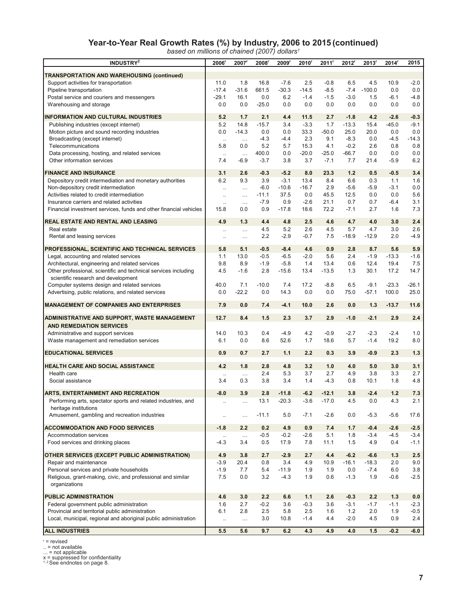## **Year-to-Year Real Growth Rates (%) by Industry, 2006 to 2015 (continued)**

*based on millions of chained (2007) dollars1*

| INDUSTRY <sup>2</sup>                                             | 2006 <sup>r</sup> | 2007 <sup>r</sup> | 2008 <sup>r</sup> | 2009 <sup>r</sup> | 2010 <sup>r</sup> | $2011^r$ | 2012 <sup>r</sup> | 2013 <sup>r</sup> | 2014 <sup>r</sup> | 2015    |
|-------------------------------------------------------------------|-------------------|-------------------|-------------------|-------------------|-------------------|----------|-------------------|-------------------|-------------------|---------|
| <b>TRANSPORTATION AND WAREHOUSING (continued)</b>                 |                   |                   |                   |                   |                   |          |                   |                   |                   |         |
| Support activities for transportation                             | 11.0              | 1.8               | 16.8              | $-7.6$            | 2.5               | $-0.8$   | 6.5               | 4.5               | 10.9              | $-2.0$  |
| Pipeline transportation                                           | $-17.4$           | $-31.6$           | 661.5             | $-30.3$           | $-14.5$           | $-8.5$   | $-7.4$            | $-100.0$          | 0.0               | 0.0     |
| Postal service and couriers and messengers                        | $-29.1$           | 16.1              | 0.0               | 6.2               | $-1.4$            | $-1.5$   | $-3.0$            | 1.5               | $-6.1$            | $-4.8$  |
| Warehousing and storage                                           | 0.0               | 0.0               | $-25.0$           | 0.0               | 0.0               | 0.0      | 0.0               | 0.0               | 0.0               | 0.0     |
| <b>INFORMATION AND CULTURAL INDUSTRIES</b>                        | 5.2               | 1.7               | 2.1               | 4.4               | 11.5              | 2.7      | $-1.8$            | 4.2               | $-2.6$            | $-0.3$  |
| Publishing industries (except internet)                           | 5.2               | 14.8              | $-15.7$           | 3.4               | $-3.3$            | 1.7      | $-13.3$           | 15.4              | $-45.0$           | $-9.1$  |
| Motion picture and sound recording industries                     | 0.0               | $-14.3$           | 0.0               | 0.0               | 33.3              | $-50.0$  | 25.0              | 20.0              | 0.0               | 0.0     |
| Broadcasting (except internet)                                    | $\ldots$          | $\cdots$          | $-4.3$            | $-4.4$            | 2.3               | 9.1      | $-8.3$            | 0.0               | $-4.5$            | $-14.3$ |
| Telecommunications                                                | 5.8               | 0.0               | 5.2               | 5.7               | 15.3              | 4.1      | $-0.2$            | 2.6               | 0.8               | 0.8     |
| Data processing, hosting, and related services                    | $\ldots$          | $\ldots$          | 400.0             | 0.0               | $-20.0$           | $-25.0$  | $-66.7$           | 0.0               | 0.0               | 0.0     |
| Other information services                                        | 7.4               | $-6.9$            | $-3.7$            | 3.8               | 3.7               | $-7.1$   | 7.7               | 21.4              | $-5.9$            | 6.2     |
| <b>FINANCE AND INSURANCE</b>                                      | 3.1               | 2.6               | $-0.3$            | $-5.2$            | 8.0               | 23.3     | $1.2$             | 0.5               | $-0.5$            | 3.4     |
| Depository credit intermediation and monetary authorities         | 6.2               | 9.3               | 3.9               | $-3.1$            | 13.4              | 8.4      | 6.6               | 0.3               | 1.1               | 1.6     |
| Non-depository credit intermediation                              | $\ldots$          | $\cdots$          | $-6.0$            | $-10.6$           | $-16.7$           | 2.9      | $-5.6$            | $-5.9$            | $-3.1$            | 0.0     |
| Activities related to credit intermediation                       | $\ddotsc$         | $\cdots$          | $-11.1$           | 37.5              | 0.0               | 45.5     | 12.5              | 0.0               | 0.0               | 5.6     |
| Insurance carriers and related activities                         | $\ddotsc$         | $\cdots$          | $-7.9$            | 0.9               | $-2.6$            | 21.1     | 0.7               | 0.7               | $-6.4$            | 3.1     |
| Financial investment services, funds and other financial vehicles | 15.8              | 0.0               | 0.9               | $-17.8$           | 18.6              | 72.2     | $-7.1$            | 2.7               | 1.6               | 7.3     |
| REAL ESTATE AND RENTAL AND LEASING                                | 4.9               | 1.3               | 4.4               | 4.8               | 2.5               | 4.6      | 4.7               | 4.0               | 3.0               | 2.4     |
| Real estate                                                       | $\ddotsc$         | $\cdots$          | 4.5               | 5.2               | 2.6               | 4.5      | 5.7               | 4.7               | 3.0               | 2.6     |
| Rental and leasing services                                       | $\ddotsc$         | $\cdots$          | 2.2               | $-2.9$            | $-0.7$            | 7.5      | $-18.9$           | $-12.9$           | 2.0               | $-4.9$  |
| PROFESSIONAL, SCIENTIFIC AND TECHNICAL SERVICES                   | 5.8               | 5.1               | $-0.5$            | $-8.4$            | 4.6               | 0.9      | 2.8               | 8.7               | 5.6               | 5.9     |
| Legal, accounting and related services                            | 1.1               | 13.0              | $-0.5$            | $-6.5$            | $-2.0$            | 5.6      | 2.4               | $-1.9$            | $-13.3$           | $-1.6$  |
| Architectural, engineering and related services                   | 9.8               | 8.9               | $-1.9$            | $-5.8$            | 1.4               | 13.4     | 0.6               | 12.4              | 19.4              | 7.5     |
| Other professional, scientific and technical services including   | 4.5               | $-1.6$            | 2.8               | $-15.6$           | 13.4              | $-13.5$  | 1.3               | 30.1              | 17.2              | 14.7    |
| scientific research and development                               |                   |                   |                   |                   |                   |          |                   |                   |                   |         |
| Computer systems design and related services                      | 40.0              | 7.1               | $-10.0$           | 7.4               | 17.2              | $-8.8$   | 6.5               | $-9.1$            | $-23.3$           | $-26.1$ |
| Advertising, public relations, and related services               | 0.0               | $-22.2$           | 0.0               | 14.3              | 0.0               | 0.0      | 75.0              | $-57.1$           | 100.0             | 25.0    |
| <b>MANAGEMENT OF COMPANIES AND ENTERPRISES</b>                    | 7.9               | 0.0               | 7.4               | $-4.1$            | 10.0              | 2.6      | 0.0               | 1.3               | $-13.7$           | 11.6    |
| ADMINISTRATIVE AND SUPPORT, WASTE MANAGEMENT                      | 12.7              | 8.4               | $1.5$             | 2.3               | 3.7               | 2.9      | $-1.0$            | $-2.1$            | 2.9               | 2.4     |
| <b>AND REMEDIATION SERVICES</b>                                   |                   |                   |                   |                   |                   |          |                   |                   |                   |         |
| Administrative and support services                               | 14.0              | 10.3              | 0.4               | $-4.9$            | 4.2               | $-0.9$   | $-2.7$            | $-2.3$            | $-2.4$            | 1.0     |
| Waste management and remediation services                         | 6.1               | 0.0               | 8.6               | 52.6              | 1.7               | 18.6     | 5.7               | $-1.4$            | 19.2              | 8.0     |
| <b>EDUCATIONAL SERVICES</b>                                       | 0.9               | 0.7               | 2.7               | 1.1               | 2.2               | 0.3      | 3.9               | $-0.9$            | 2.3               | 1.3     |
| HEALTH CARE AND SOCIAL ASSISTANCE                                 | 4.2               | 1.8               | 2.8               | 4.8               | 3.2               | 1.0      | 4.0               | 5.0               | 3.0               | 3.1     |
| Health care                                                       |                   | $\cdots$          | 2.4               | 5.3               | 3.7               | 2.7      | 4.9               | 3.8               | 3.3               | 2.7     |
| Social assistance                                                 | 3.4               | 0.3               | 3.8               | 3.4               | 1.4               | -4.3     | 0.8               | 10.1              | 1.8               | 4.8     |
| <b>ARTS, ENTERTAINMENT AND RECREATION</b>                         | $-8.0$            | 3.9               | 2.8               | $-11.8$           | $-6.2$            | $-12.1$  | 3.8               | $-2.4$            | $1.2$             | 7.3     |
| Performing arts, spectator sports and related industries, and     |                   |                   | 13.1              | $-20.3$           | $-3.6$            | $-17.0$  | 4.5               | 0.0               | 4.3               | 2.1     |
| heritage institutions                                             |                   |                   |                   |                   |                   |          |                   |                   |                   |         |
| Amusement, gambling and recreation industries                     | $\ldots$          | $\cdots$          | $-11.1$           | 5.0               | $-7.1$            | $-2.6$   | 0.0               | $-5.3$            | $-5.6$            | 17.6    |
| <b>ACCOMMODATION AND FOOD SERVICES</b>                            | $-1.8$            | 2.2               | 0.2               | 4.9               | 0.9               | 7.4      | 1.7               | $-0.4$            | $-2.6$            | $-2.5$  |
| Accommodation services                                            |                   | $\ldots$          | $-0.5$            | $-0.2$            | $-2.6$            | 5.1      | 1.8               | $-3.4$            | $-4.5$            | $-3.4$  |
| Food services and drinking places                                 | $-4.3$            | 3.4               | 0.5               | 17.9              | 7.8               | 11.1     | 1.5               | 4.9               | 0.4               | $-1.1$  |
| OTHER SERVICES (EXCEPT PUBLIC ADMINISTRATION)                     | 4.9               | 3.8               | 2.7               | $-2.9$            | 2.7               | 4.4      | $-6.2$            | $-6.6$            | 1.3               | 2.5     |
| Repair and maintenance                                            | $-3.9$            | 20.4              | 0.8               | 3.4               | 4.9               | 10.9     | $-16.1$           | $-18.3$           | 2.0               | 9.0     |
| Personal services and private households                          | $-1.9$            | 7.7               | 5.4               | $-11.9$           | 1.9               | 1.9      | 0.0               | $-7.4$            | 6.0               | 3.8     |
| Religious, grant-making, civic, and professional and similar      | 7.5               | 0.0               | 3.2               | $-4.3$            | 1.9               | 0.6      | $-1.3$            | 1.9               | -0.6              | $-2.5$  |
| organizations                                                     |                   |                   |                   |                   |                   |          |                   |                   |                   |         |
| <b>PUBLIC ADMINISTRATION</b>                                      | 4.6               | 3.0               | 2.2               | 6.6               | 1.1               | 2.6      | $-0.3$            | 2.2               | 1.3               | 0.0     |
| Federal government public administration                          | 1.6               | 2.7               | $-0.2$            | 3.6               | $-0.3$            | 3.6      | $-3.1$            | $-1.7$            | $-1.1$            | $-2.3$  |
| Provincial and territorial public administration                  | 6.1               | 2.8               | 2.5               | 5.8               | 2.5               | 1.6      | 1.2               | 2.0               | 1.9               | $-0.5$  |
| Local, municipal, regional and aboriginal public administration   | $\ldots$          | $\ldots$          | 3.0               | 10.8              | $-1.4$            | 4.4      | $-2.0$            | 4.5               | 0.9               | 2.4     |
| <b>ALL INDUSTRIES</b>                                             | $5.5\,$           | 5.6               | 9.7               | 6.2               | 4.3               | 4.9      | 4.0               | 1.5               | $-0.2$            | $-6.0$  |
|                                                                   |                   |                   |                   |                   |                   |          |                   |                   |                   |         |

F = revised<br>
.. = not available<br>  $x = x$  = suppressed for confidentiality<br>
1, 2 See endnotes on page 8.